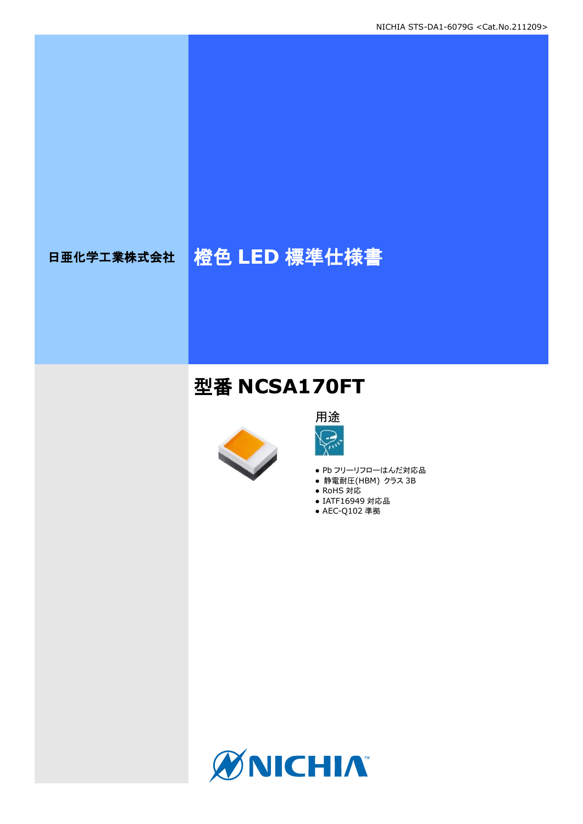# 日亜化学工業株式会社 格色 LED 標準仕様書

## 型番 **NCSA170FT**





- Pb フリーリフローはんだ対応品
- **静電耐圧(HBM) クラス 3B**
- RoHS 対応
- IATF16949 対応品
- AEC-Q102 準拠

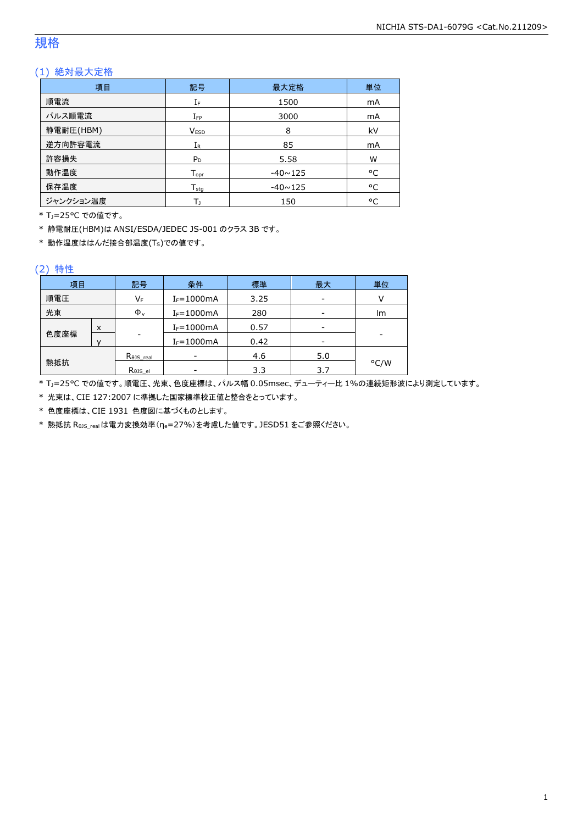## 規格

## (1) 絶対最大定格

| 項目        | 記号               | 最大定格           | 単位 |
|-----------|------------------|----------------|----|
| 順電流       | IF               | 1500           | mA |
| パルス順電流    | $I_{FP}$         | 3000           | mA |
| 静電耐圧(HBM) | <b>VESD</b>      | 8              | kV |
| 逆方向許容電流   | $I_{R}$          | 85             | mA |
| 許容損失      | $P_D$            | 5.58           | W  |
| 動作温度      | $T_{\text{opt}}$ | $-40 \sim 125$ | °C |
| 保存温度      | $T_{\text{stg}}$ | $-40 \sim 125$ | °C |
| ジャンクション温度 | Tı               | 150            | °C |

\* TJ=25°C での値です。

\* 静電耐圧(HBM)は ANSI/ESDA/JEDEC JS-001 のクラス 3B です。

\* 動作温度ははんだ接合部温度(TS)での値です。

#### (2) 特性

| 項目   |   | 記号                   | 条件             | 標準   | 最大  | 単位   |
|------|---|----------------------|----------------|------|-----|------|
| 順電圧  |   | VF                   | $I_F = 1000mA$ | 3.25 |     |      |
| 光束   |   | $\Phi_{v}$           | $I_F = 1000mA$ | 280  |     | lm   |
|      | X |                      | $I_F = 1000mA$ | 0.57 |     |      |
| 色度座標 |   | ۰                    | $I_F = 1000mA$ | 0.42 |     | -    |
|      |   | $R_{\theta}$ JS_real |                | 4.6  | 5.0 |      |
| 熱抵抗  |   | Rejs el              |                | 3.3  | 3.7 | °C/W |

\* TJ=25°C での値です。順電圧、光束、色度座標は、パルス幅 0.05msec、デューティー比 1%の連続矩形波により測定しています。

\* 光束は、CIE 127:2007 に準拠した国家標準校正値と整合をとっています。

\* 色度座標は、CIE 1931 色度図に基づくものとします。

\* 熱抵抗 RθJS\_realは電力変換効率(ηe=27%)を考慮した値です。JESD51 をご参照ください。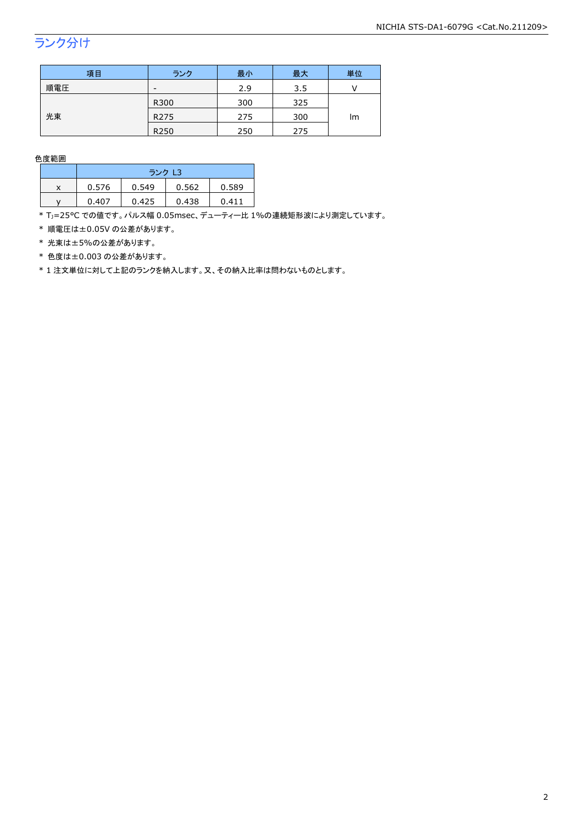## ランク分け

| 項目  | ランク              | 最小  | 最大  | 単位 |  |
|-----|------------------|-----|-----|----|--|
| 順電圧 | -                | 2.9 | 3.5 |    |  |
|     | R300             | 300 | 325 |    |  |
| 光束  | R <sub>275</sub> | 275 | 300 | lm |  |
|     | R250             | 250 | 275 |    |  |

色度範囲

|   | ランク L3 |       |       |       |  |
|---|--------|-------|-------|-------|--|
| x | 0.576  | 0.549 | 0.562 | 0.589 |  |
|   | 0.407  | 0.425 | 0.438 | 0411  |  |

\* Tj=25°C での値です。パルス幅 0.05msec、デューティー比 1%の連続矩形波により測定しています。

\* 順電圧は±0.05V の公差があります。

\* 光束は±5%の公差があります。

\* 色度は±0.003 の公差があります。

\* 1 注文単位に対して上記のランクを納入します。又、その納入比率は問わないものとします。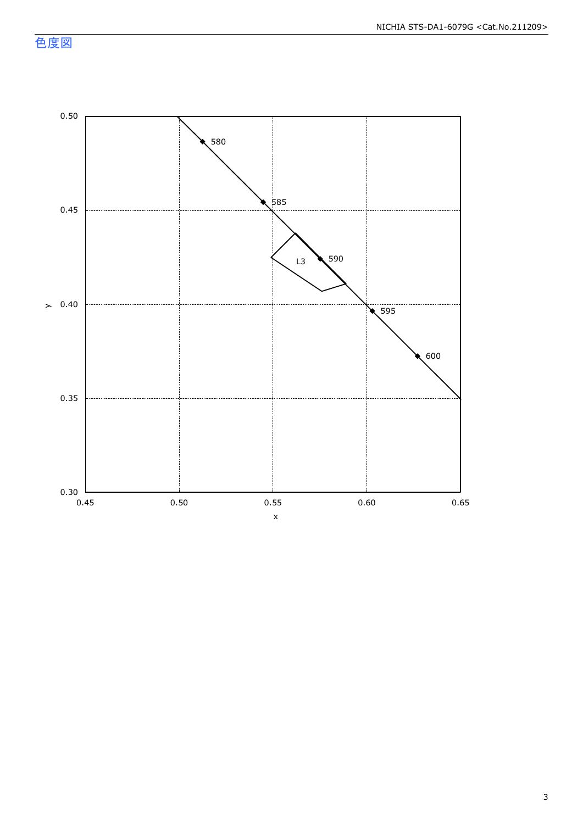色度図



3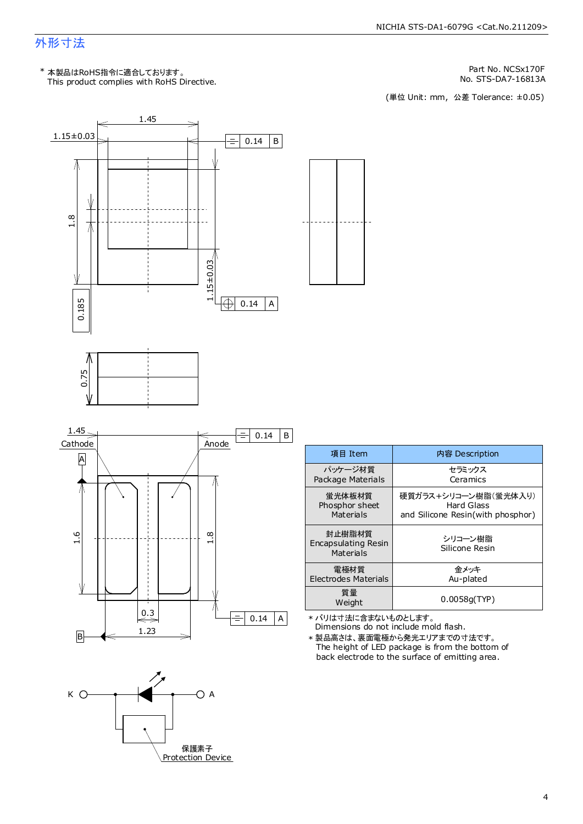## 外形寸法

This product complies with RoHS Directive. \* 本製品はRoHS指令に適合しております。

Part No. NCSx170F

No. STS-DA7-16813A<br>(単位 Unit: mm,公差 Tolerance: ±0.05)



| 項目 Item                                           | 内容 Description                    |
|---------------------------------------------------|-----------------------------------|
| パッケージ材質                                           | セラミックス                            |
| Package Materials                                 | Ceramics                          |
| 蛍光体板材質                                            | 硬質ガラス+シリコ―ン樹脂(蛍光体入り)              |
| Phosphor sheet                                    | Hard Glass                        |
| Materials                                         | and Silicone Resin(with phosphor) |
| 封止樹脂材質<br><b>Encapsulating Resin</b><br>Materials | シリコーン樹脂<br>Silicone Resin         |
| 雷極材質                                              | 金メッキ                              |
| <b>Electrodes Materials</b>                       | Au-plated                         |
| 質量<br>Weight                                      | 0.0058q(TYP)                      |

\* バリは寸法に含まないものとします。

Dimensions do not include mold flash. \* 製品高さは、裏面電極から発光エリアまでの寸法です。

The height of LED package is from the bottom of back electrode to the surface of emitting area.

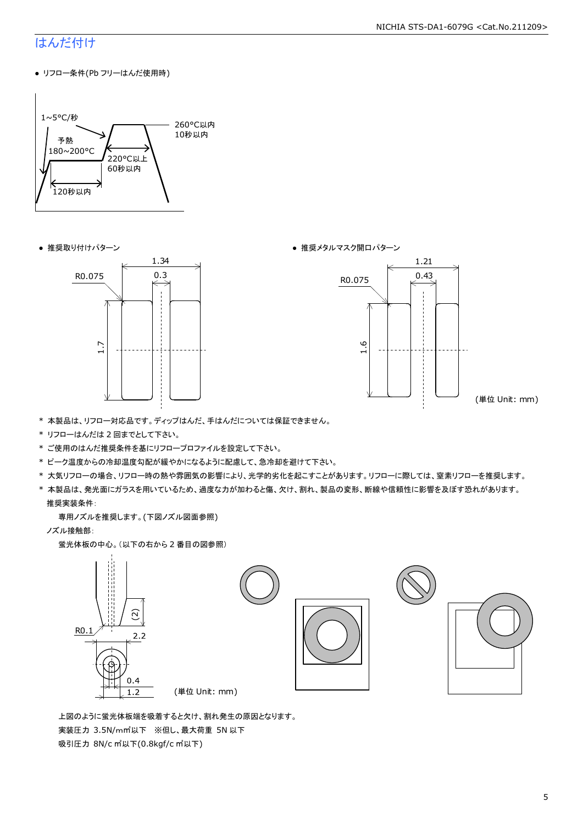## はんだ付け

● リフロー条件(Pb フリーはんだ使用時)







(単位 Unit: mm)

- \* 本製品は、リフロー対応品です。ディップはんだ、手はんだについては保証できません。
- \* リフローはんだは 2 回までとして下さい。
- \* ご使用のはんだ推奨条件を基にリフロープロファイルを設定して下さい。
- \* ピーク温度からの冷却温度勾配が緩やかになるように配慮して、急冷却を避けて下さい。
- \* 大気リフローの場合、リフロー時の熱や雰囲気の影響により、光学的劣化を起こすことがあります。リフローに際しては、窒素リフローを推奨します。
- \* 本製品は、発光面にガラスを用いているため、過度な力が加わると傷、欠け、割れ、製品の変形、断線や信頼性に影響を及ぼす恐れがあります。 推奨実装条件:

専用ノズルを推奨します。(下図ノズル図面参照)

ノズル接触部:

蛍光体板の中心。(以下の右から 2 番目の図参照)



 上図のように蛍光体板端を吸着すると欠け、割れ発生の原因となります。 実装圧力 3.5N/m㎡以下 ※但し、最大荷重 5N 以下 吸引圧力 8N/c ㎡以下(0.8kgf/c ㎡以下)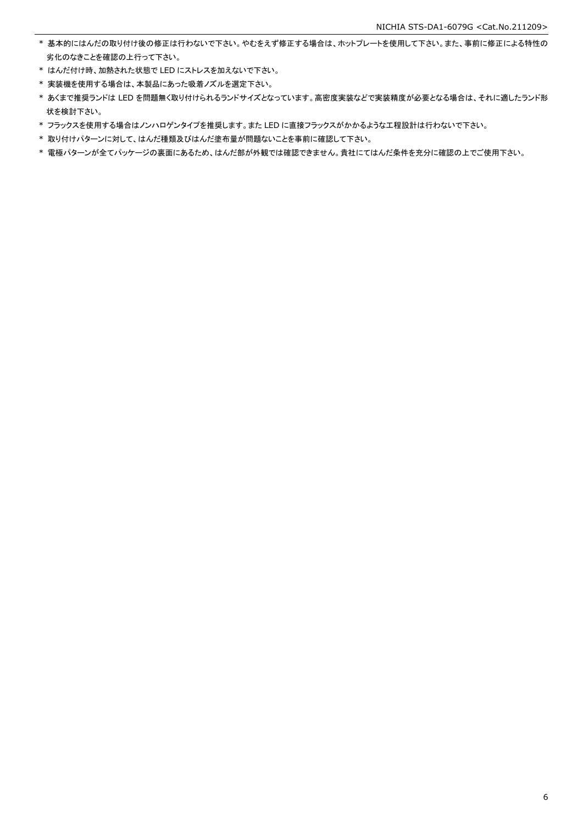- \* 基本的にはんだの取り付け後の修正は行わないで下さい。やむをえず修正する場合は、ホットプレートを使用して下さい。また、事前に修正による特性の 劣化のなきことを確認の上行って下さい。
- \* はんだ付け時、加熱された状態で LED にストレスを加えないで下さい。
- \* 実装機を使用する場合は、本製品にあった吸着ノズルを選定下さい。
- \* あくまで推奨ランドは LED を問題無く取り付けられるランドサイズとなっています。高密度実装などで実装精度が必要となる場合は、それに適したランド形 状を検討下さい。
- \* フラックスを使用する場合はノンハロゲンタイプを推奨します。また LED に直接フラックスがかかるような工程設計は行わないで下さい。
- \* 取り付けパターンに対して、はんだ種類及びはんだ塗布量が問題ないことを事前に確認して下さい。
- \* 電極パターンが全てパッケージの裏面にあるため、はんだ部が外観では確認できません。貴社にてはんだ条件を充分に確認の上でご使用下さい。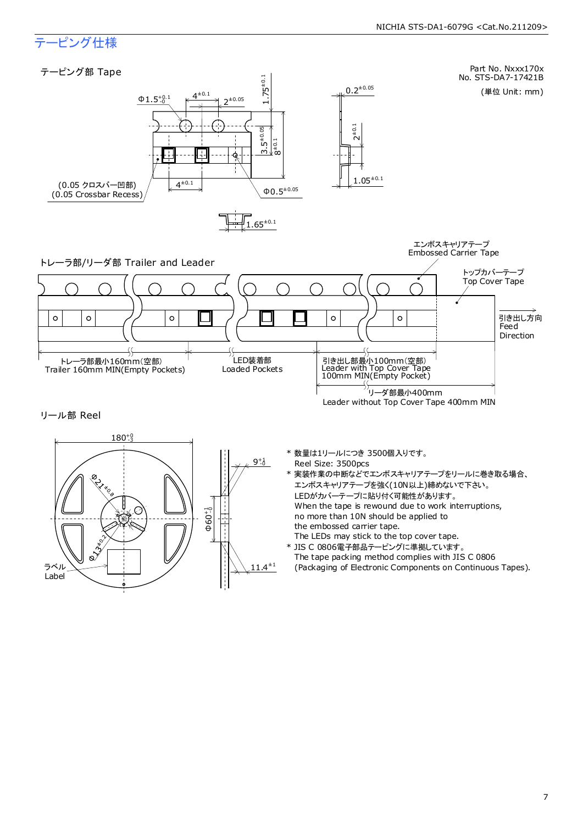## テーピング仕様

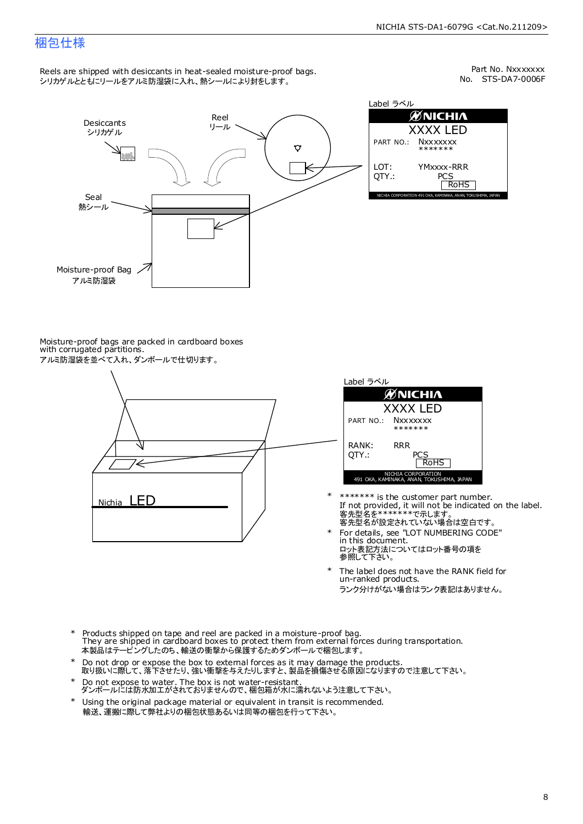## 梱包仕様

Reels are shipped with desiccants in heat-sealed moisture-proof bags. シリカゲルとともにリールをアルミ防湿袋に入れ、熱シールにより封をします。

No. STS-DA7-0006F Part No. Nxxxxxxx



Label ラベル  $\mathscr{D}$ NICHIA XXXX LED PART NO.: **Nxxxxxxx** \*\*\*\*\*\*\* LOT: YMxxxx-RRR QTY.: PCS<br>RoHS INAKA, ANAN, TOKUSHIMA, JA

Moisture-proof bags are packed in cardboard boxes with corrugated partitions. アルミ防湿袋を並べて入れ、ダンボールで仕切ります。





- 客先型名が設定されていない場合は空白です。 客先型名を\*\*\*\*\*\*\*で示します。 If not provided, it will not be indicated on the label. \*\*\*\*\*\*\* is the customer part number.
- For details, see "LOT NUMBERING CODE" in this document. ロット表記方法についてはロット番号の項を<br>参照して下さい。 \*
- The label does not have the RANK field for un-ranked products. ランク分けがない場合はランク表記はありません。 \*
- Products shipped on tape and reel are packed in a moisture-proof bag. They are shipped in cardboard boxes to protect them from external forces during transportation. 本製品はテーピングしたのち、輸送の衝撃から保護するためダンボールで梱包します。 \*
- Do not drop or expose the box to external forces as it may damage the products. 取り扱いに際して、落下させたり、強い衝撃を与えたりしますと、製品を損傷させる原因になりますので注意して下さい。 \*
- Do not expose to water. The box is not water-resistant. ダンボールには防水加工がされておりませんので、梱包箱が水に濡れないよう注意して下さい。 \*
- \* Using the original package material or equivalent in transit is recommended. 輸送、運搬に際して弊社よりの梱包状態あるいは同等の梱包を行って下さい。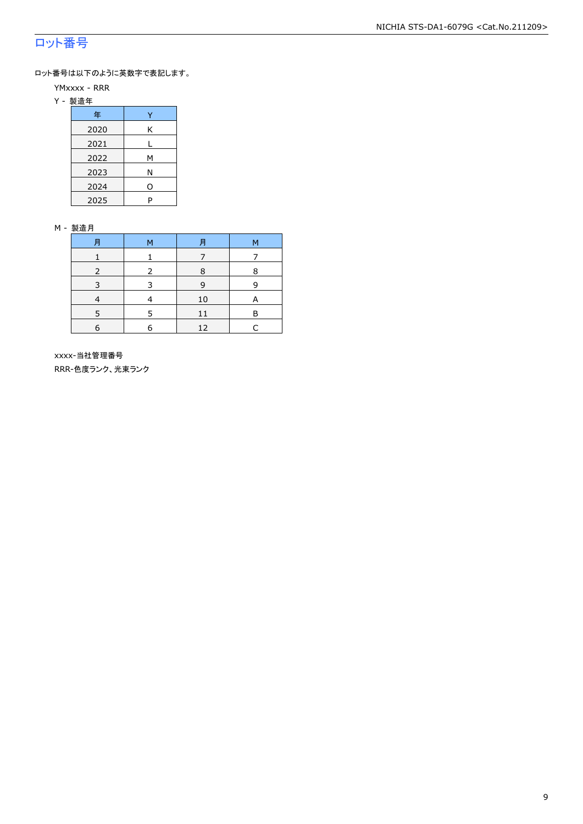## ロット番号

ロット番号は以下のように英数字で表記します。

- YMxxxx RRR
- Y 製造年

| 年    |   |
|------|---|
| 2020 | Κ |
| 2021 |   |
| 2022 | м |
| 2023 | Ν |
| 2024 | ი |
| 2025 | P |

#### M - 製造月

| 肙 | м | 月  | М |
|---|---|----|---|
|   |   |    |   |
|   |   | 8  | 8 |
|   | ີ | 9  | q |
|   |   | 10 |   |
|   |   | 11 | в |
| 6 |   | 12 |   |

 xxxx-当社管理番号 RRR-色度ランク、光束ランク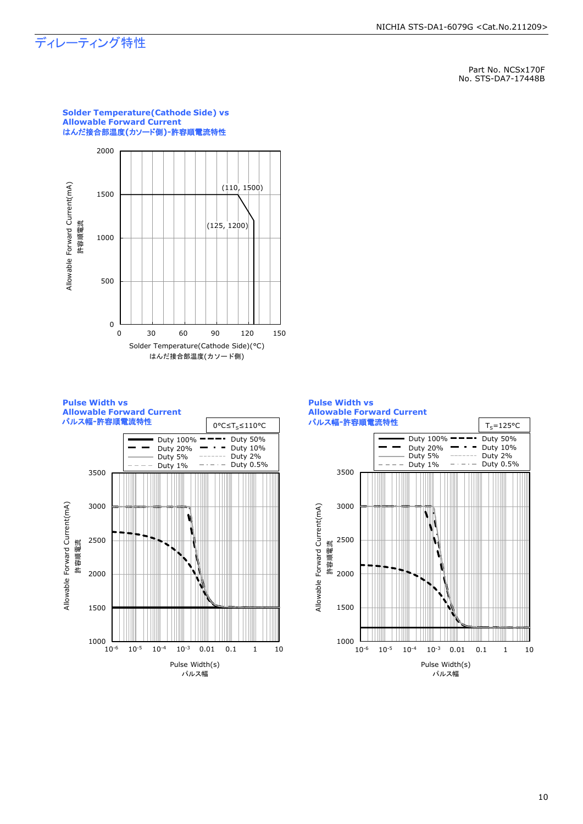## ディレーティング特性

Part No. NCSx170F No. STS-DA7-17448B









## **Solder Temperature(Cathode Side) vs Allowable Forward Current**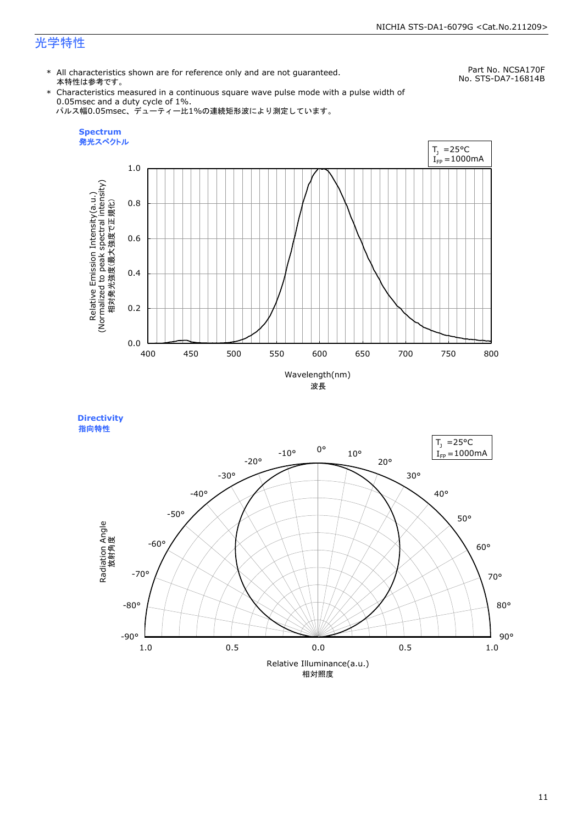## 光学特性

\* All characteristics shown are for reference only and are not guaranteed. 本特性は参考です。

Part No. NCSA170F No. STS-DA7-16814B

\* Characteristics measured in a continuous square wave pulse mode with a pulse width of 0.05msec and a duty cycle of 1%. パルス幅0.05msec、デューティー比1%の連続矩形波により測定しています。



**Directivity**  指向特性

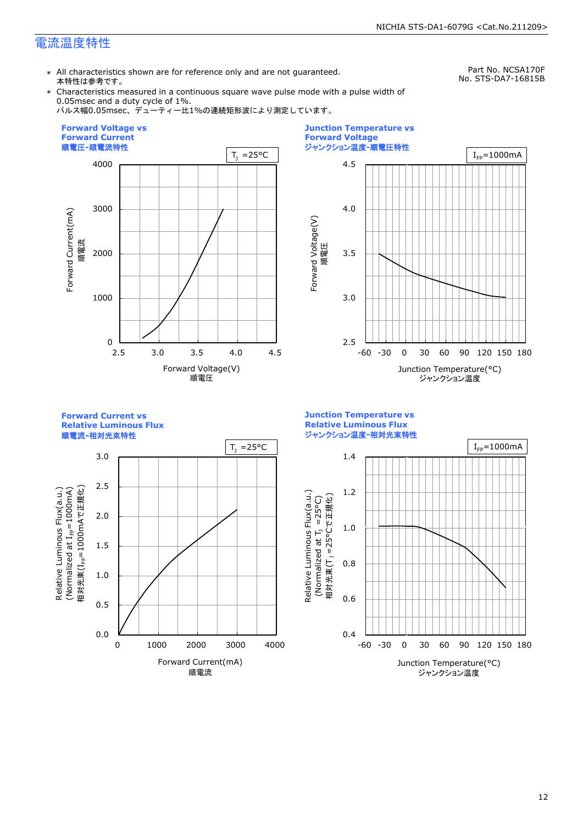## 電流温度特性

\* All characteristics shown are for reference only and are not guaranteed. 本特性は参考です。

Part No. NCSA170F No. STS-DA7-16815B

\* Characteristics measured in a continuous square wave pulse mode with a pulse width of 0.05msec and a duty cycle of 1%.

パルス幅0.05msec、デューティー比1%の連続矩形波により測定しています。





**Forward Current vs Relative Luminous Flux**

順電流**-**相対光束特性



**Junction Temperature vs Relative Luminous Flux** ジャンクション温度**-**相対光束特性

Relative Luminous Flux(a.u.)

Relative Luminous Flux(a.u.)

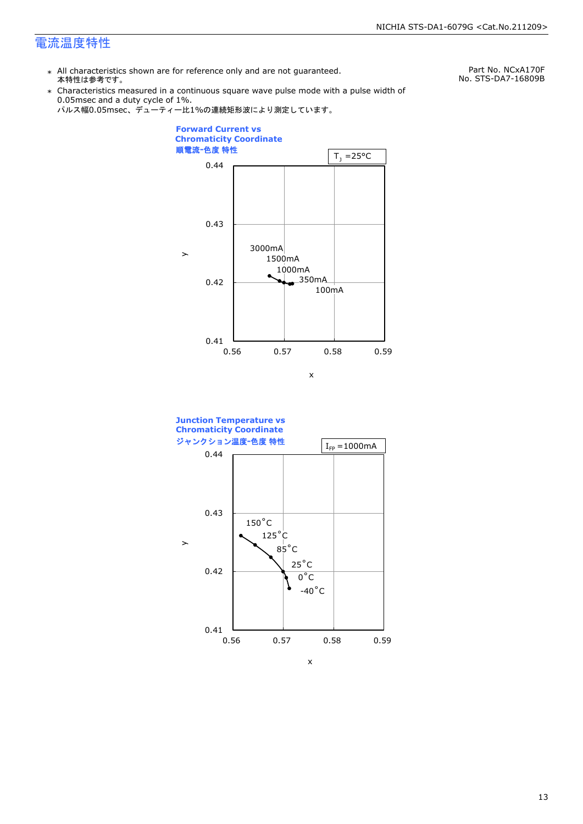## 電流温度特性

\* All characteristics shown are for reference only and are not guaranteed. 本特性は参考です。

Part No. NCxA170F No. STS-DA7-16809B

\* Characteristics measured in a continuous square wave pulse mode with a pulse width of 0.05msec and a duty cycle of 1%.







x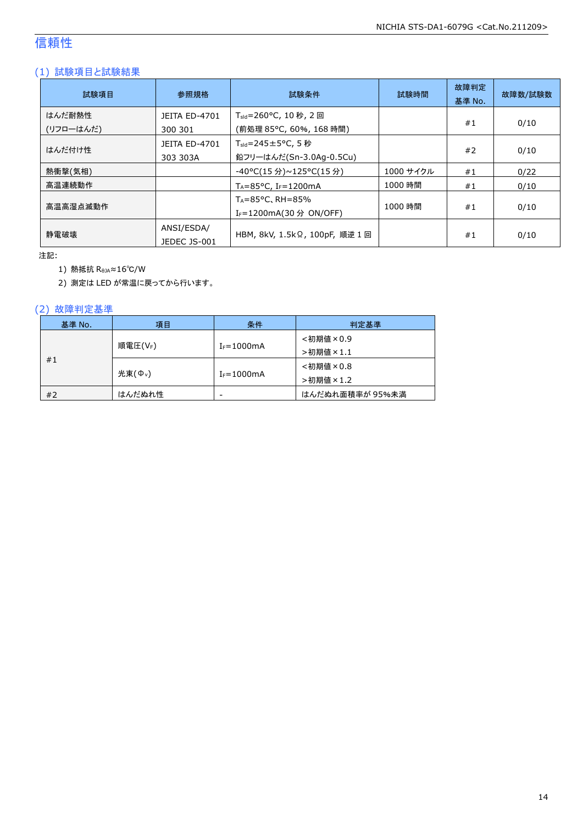## 信頼性

## (1) 試験項目と試験結果

| 試験項目                | 参照規格                             | 試験条件                                                                   | 試験時間      | 故障判定<br>基準 No. | 故障数/試験数 |
|---------------------|----------------------------------|------------------------------------------------------------------------|-----------|----------------|---------|
| はんだ耐熱性<br>(リフローはんだ) | <b>JEITA ED-4701</b><br>300 301  | T <sub>sld</sub> =260°C, 10 秒, 2 回<br>(前処理 85℃, 60%, 168 時間)           |           | #1             | 0/10    |
| はんだ付け性              | <b>JEITA ED-4701</b><br>303 303A | $T_{\text{std}} = 245 \pm 5^{\circ}$ C, 5 秒<br>鉛フリーはんだ(Sn-3.0Ag-0.5Cu) |           | #2             | 0/10    |
| 熱衝撃(気相)             |                                  | -40°C(15 分)~125°C(15 分)                                                | 1000 サイクル | #1             | 0/22    |
| 高温連続動作              |                                  | $T_A = 85^{\circ}$ C, I <sub>F</sub> =1200mA                           | 1000 時間   | #1             | 0/10    |
| 高温高湿点滅動作            |                                  | $T_A = 85^{\circ}$ C, RH = 85%<br>I <sub>F</sub> =1200mA(30 分 ON/OFF)  | 1000 時間   | #1             | 0/10    |
| 静雷破壊                | ANSI/ESDA/<br>JEDEC JS-001       | HBM, 8kV, 1.5kΩ, 100pF, 順逆 1 回                                         |           | #1             | 0/10    |

注記:

1) 熱抵抗 RθJA≈16℃/W

2) 測定は LED が常温に戻ってから行います。

#### (2) 故障判定基準

| 基準 No. | 項目                  | 条件              | 判定基準            |
|--------|---------------------|-----------------|-----------------|
|        |                     |                 | <初期値×0.9        |
| #1     | 順電圧(VF)             | $I_F = 1000mA$  | >初期値×1.1        |
|        |                     |                 | <初期値×0.8        |
|        | 光束(Φ <sub>ν</sub> ) | $I_F = 1000$ mA | >初期値×1.2        |
| #2     | はんだぬれ性              | -               | はんだぬれ面積率が 95%未満 |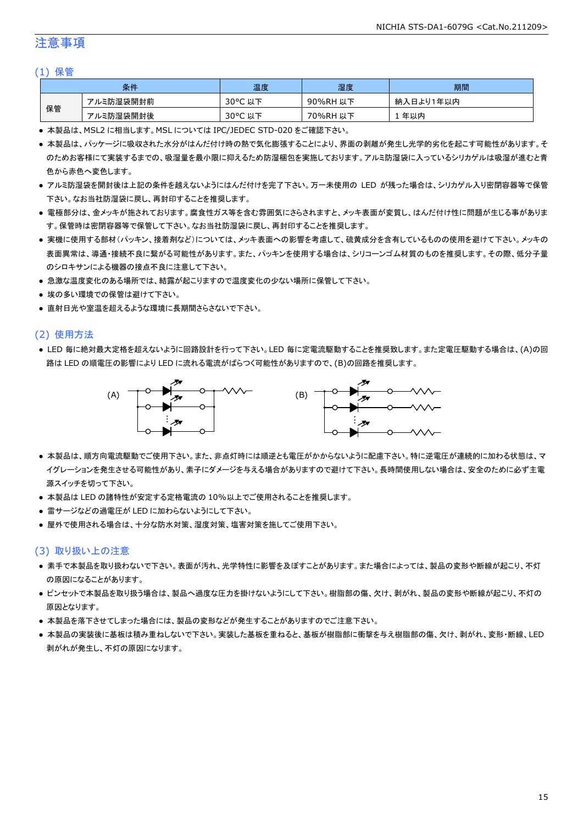## 注意事項

#### (1) 保管

|    | 条件        | 温度                     | 湿度          | 期間              |
|----|-----------|------------------------|-------------|-----------------|
|    | アルミ防湿袋開封前 | $30^{\circ}$ C<br>以下   | 90%RH<br>以下 | ∛入日より1年以内<br>納. |
| 保管 | アルミ防湿袋開封後 | $30^{\circ}$ C<br>. 以下 | 70%RH<br>以下 | 年以内             |

● 本製品は、MSL2 に相当します。MSL については IPC/JEDEC STD-020 をご確認下さい。

- 本製品は、パッケージに吸収された水分がはんだ付け時の熱で気化膨張することにより、界面の剥離が発生し光学的劣化を起こす可能性があります。そ のためお客様にて実装するまでの、吸湿量を最小限に抑えるため防湿梱包を実施しております。アルミ防湿袋に入っているシリカゲルは吸湿が進むと青 色から赤色へ変色します。
- アルミ防湿袋を開封後は上記の条件を越えないようにはんだ付けを完了下さい。万一未使用の LED が残った場合は、シリカゲル入り密閉容器等で保管 下さい。なお当社防湿袋に戻し、再封印することを推奨します。
- 電極部分は、金メッキが施されております。腐食性ガス等を含む雰囲気にさらされますと、メッキ表面が変質し、はんだ付け性に問題が生じる事がありま す。保管時は密閉容器等で保管して下さい。なお当社防湿袋に戻し、再封印することを推奨します。
- 実機に使用する部材(パッキン、接着剤など)については、メッキ表面への影響を考慮して、硫黄成分を含有しているものの使用を避けて下さい。メッキの 表面異常は、導通・接続不良に繋がる可能性があります。また、パッキンを使用する場合は、シリコーンゴム材質のものを推奨します。その際、低分子量 のシロキサンによる機器の接点不良に注意して下さい。
- 急激な温度変化のある場所では、結露が起こりますので温度変化の少ない場所に保管して下さい。
- 埃の多い環境での保管は避けて下さい。
- 直射日光や室温を超えるような環境に長期間さらさないで下さい。

#### (2) 使用方法

● LED 毎に絶対最大定格を超えないように回路設計を行って下さい。LED 毎に定電流駆動することを推奨致します。また定電圧駆動する場合は、(A)の回 路は LED の順電圧の影響により LED に流れる電流がばらつく可能性がありますので、(B)の回路を推奨します。



- 本製品は、順方向電流駆動でご使用下さい。また、非点灯時には順逆とも電圧がかからないように配慮下さい。特に逆電圧が連続的に加わる状態は、マ イグレーションを発生させる可能性があり、素子にダメージを与える場合がありますので避けて下さい。長時間使用しない場合は、安全のために必ず主電 源スイッチを切って下さい。
- 本製品は LED の諸特性が安定する定格電流の 10%以上でご使用されることを推奨します。
- 雷サージなどの過電圧が LED に加わらないようにして下さい。
- 屋外で使用される場合は、十分な防水対策、湿度対策、塩害対策を施してご使用下さい。

#### (3) 取り扱い上の注意

- 素手で本製品を取り扱わないで下さい。表面が汚れ、光学特性に影響を及ぼすことがあります。また場合によっては、製品の変形や断線が起こり、不灯 の原因になることがあります。
- ピンセットで本製品を取り扱う場合は、製品へ過度な圧力を掛けないようにして下さい。樹脂部の傷、欠け、剥がれ、製品の変形や断線が起こり、不灯の 原因となります。
- 本製品を落下させてしまった場合には、製品の変形などが発生することがありますのでご注意下さい。
- 本製品の実装後に基板は積み重ねしないで下さい。実装した基板を重ねると、基板が樹脂部に衝撃を与え樹脂部の傷、欠け、剥がれ、変形・断線、LED 剥がれが発生し、不灯の原因になります。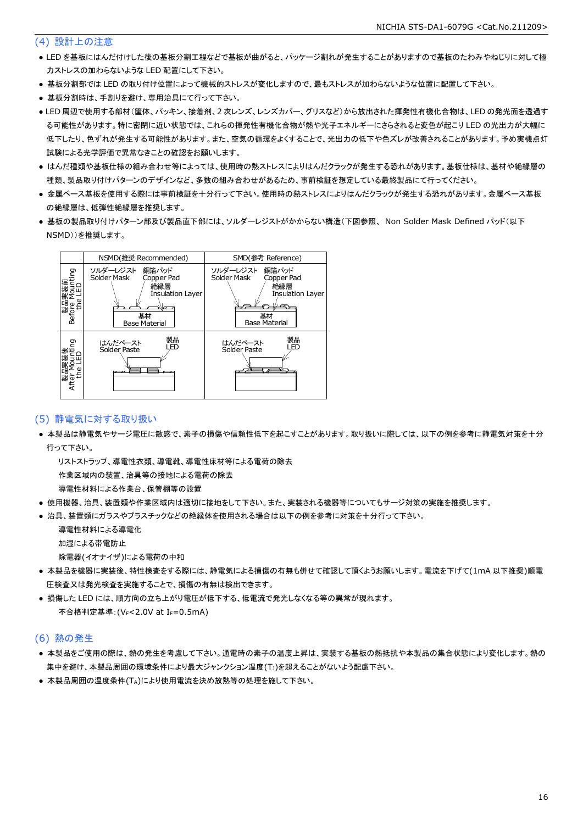#### (4) 設計上の注意

- LED を基板にはんだ付けした後の基板分割工程などで基板が曲がると、パッケージ割れが発生することがありますので基板のたわみやねじりに対して極 力ストレスの加わらないような LED 配置にして下さい。
- 基板分割部では LED の取り付け位置によって機械的ストレスが変化しますので、最もストレスが加わらないような位置に配置して下さい。
- 基板分割時は、手割りを避け、専用治具にて行って下さい。
- LED 周辺で使用する部材(筐体、パッキン、接着剤、2 次レンズ、レンズカバー、グリスなど)から放出された揮発性有機化合物は、LED の発光面を透過す る可能性があります。特に密閉に近い状態では、これらの揮発性有機化合物が熱や光子エネルギーにさらされると変色が起こり LED の光出力が大幅に 低下したり、色ずれが発生する可能性があります。また、空気の循環をよくすることで、光出力の低下や色ズレが改善されることがあります。予め実機点灯 試験による光学評価で異常なきことの確認をお願いします。
- はんだ種類や基板仕様の組み合わせ等によっては、使用時の熱ストレスによりはんだクラックが発生する恐れがあります。基板仕様は、基材や絶縁層の 種類、製品取り付けパターンのデザインなど、多数の組み合わせがあるため、事前検証を想定している最終製品にて行ってください。
- 金属ベース基板を使用する際には事前検証を十分行って下さい。使用時の熱ストレスによりはんだクラックが発生する恐れがあります。金属ベース基板 の絶縁層は、低弾性絶縁層を推奨します。
- 基板の製品取り付けパターン部及び製品直下部には、ソルダーレジストがかからない構造(下図参照、 Non Solder Mask Defined パッド(以下 NSMD))を推奨します。



#### (5) 静電気に対する取り扱い

● 本製品は静電気やサージ電圧に敏感で、素子の損傷や信頼性低下を起こすことがあります。取り扱いに際しては、以下の例を参考に静電気対策を十分 行って下さい。

 リストストラップ、導電性衣類、導電靴、導電性床材等による電荷の除去 作業区域内の装置、治具等の接地による電荷の除去

導電性材料による作業台、保管棚等の設置

- 使用機器、治具、装置類や作業区域内は適切に接地をして下さい。また、実装される機器等についてもサージ対策の実施を推奨します。
- 治具、装置類にガラスやプラスチックなどの絶縁体を使用される場合は以下の例を参考に対策を十分行って下さい。

 導電性材料による導電化 加湿による帯電防止

除電器(イオナイザ)による電荷の中和

- 本製品を機器に実装後、特性検査をする際には、静電気による損傷の有無も併せて確認して頂くようお願いします。電流を下げて(1mA 以下推奨)順電 圧検査又は発光検査を実施することで、損傷の有無は検出できます。
- 損傷した LED には、順方向の立ち上がり電圧が低下する、低電流で発光しなくなる等の異常が現れます。 不合格判定基準: (VF<2.0V at IF=0.5mA)

#### (6) 熱の発生

- 本製品をご使用の際は、熱の発生を考慮して下さい。通電時の素子の温度上昇は、実装する基板の熱抵抗や本製品の集合状態により変化します。熱の 集中を避け、本製品周囲の環境条件により最大ジャンクション温度(TJ)を超えることがないよう配慮下さい。
- 本製品周囲の温度条件(TA)により使用電流を決め放熱等の処理を施して下さい。